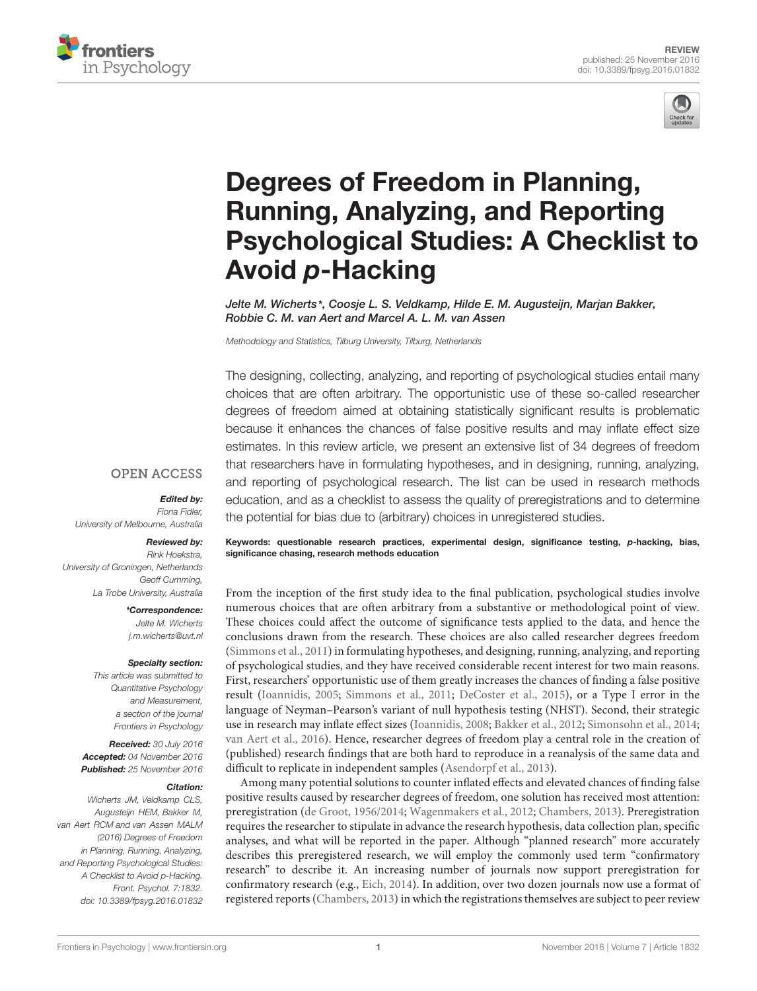



# Degrees of Freedom in Planning, Running, Analyzing, and Reporting [Psychological Studies: A Checklist to](http://journal.frontiersin.org/article/10.3389/fpsyg.2016.01832/abstract) Avoid p-Hacking

Jelte [M. Wicherts](http://loop.frontiersin.org/people/12704/overview)\*, [Coosje L. S. Veldkamp,](http://loop.frontiersin.org/people/184201/overview) [Hilde E. M. Augusteijn,](http://loop.frontiersin.org/people/369620/overview) [Marjan Bakker,](http://loop.frontiersin.org/people/45904/overview) [Robbie C. M. van Aert](http://loop.frontiersin.org/people/379889/overview) and [Marcel A. L. M. van Assen](http://loop.frontiersin.org/people/184051/overview)

Methodology and Statistics, Tilburg University, Tilburg, Netherlands

The designing, collecting, analyzing, and reporting of psychological studies entail many choices that are often arbitrary. The opportunistic use of these so-called researcher degrees of freedom aimed at obtaining statistically significant results is problematic because it enhances the chances of false positive results and may inflate effect size estimates. In this review article, we present an extensive list of 34 degrees of freedom that researchers have in formulating hypotheses, and in designing, running, analyzing, and reporting of psychological research. The list can be used in research methods education, and as a checklist to assess the quality of preregistrations and to determine the potential for bias due to (arbitrary) choices in unregistered studies.

#### **OPEN ACCESS**

#### Edited by:

Fiona Fidler, University of Melbourne, Australia

#### Reviewed by:

Rink Hoekstra, University of Groningen, Netherlands Geoff Cumming, La Trobe University, Australia

#### \*Correspondence:

Jelte M. Wicherts j.m.wicherts@uvt.nl

#### Specialty section:

This article was submitted to Quantitative Psychology and Measurement, a section of the journal Frontiers in Psychology

Received: 30 July 2016 Accepted: 04 November 2016 Published: 25 November 2016

#### Citation:

Wicherts JM, Veldkamp CLS, Augusteijn HEM, Bakker M, van Aert RCM and van Assen MALM (2016) Degrees of Freedom in Planning, Running, Analyzing, and Reporting Psychological Studies: A Checklist to Avoid p-Hacking. Front. Psychol. 7:1832. doi: [10.3389/fpsyg.2016.01832](https://doi.org/10.3389/fpsyg.2016.01832)

Keywords: questionable research practices, experimental design, significance testing, p-hacking, bias, significance chasing, research methods education

From the inception of the first study idea to the final publication, psychological studies involve numerous choices that are often arbitrary from a substantive or methodological point of view. These choices could affect the outcome of significance tests applied to the data, and hence the conclusions drawn from the research. These choices are also called researcher degrees freedom [\(Simmons et al., 2011\)](#page-10-0) in formulating hypotheses, and designing, running, analyzing, and reporting of psychological studies, and they have received considerable recent interest for two main reasons. First, researchers' opportunistic use of them greatly increases the chances of finding a false positive result [\(Ioannidis, 2005;](#page-10-1) [Simmons et al., 2011;](#page-10-0) [DeCoster et al., 2015\)](#page-10-2), or a Type I error in the language of Neyman–Pearson's variant of null hypothesis testing (NHST). Second, their strategic use in research may inflate effect sizes [\(Ioannidis, 2008;](#page-10-3) [Bakker et al., 2012;](#page-9-0) [Simonsohn et al., 2014;](#page-10-4) [van Aert et al., 2016\)](#page-10-5). Hence, researcher degrees of freedom play a central role in the creation of (published) research findings that are both hard to reproduce in a reanalysis of the same data and difficult to replicate in independent samples [\(Asendorpf et al., 2013\)](#page-9-1).

Among many potential solutions to counter inflated effects and elevated chances of finding false positive results caused by researcher degrees of freedom, one solution has received most attention: preregistration [\(de Groot, 1956/2014;](#page-10-6) [Wagenmakers et al., 2012;](#page-10-7) [Chambers, 2013\)](#page-9-2). Preregistration requires the researcher to stipulate in advance the research hypothesis, data collection plan, specific analyses, and what will be reported in the paper. Although "planned research" more accurately describes this preregistered research, we will employ the commonly used term "confirmatory research" to describe it. An increasing number of journals now support preregistration for confirmatory research (e.g., [Eich, 2014\)](#page-10-8). In addition, over two dozen journals now use a format of registered reports [\(Chambers, 2013\)](#page-9-2) in which the registrations themselves are subject to peer review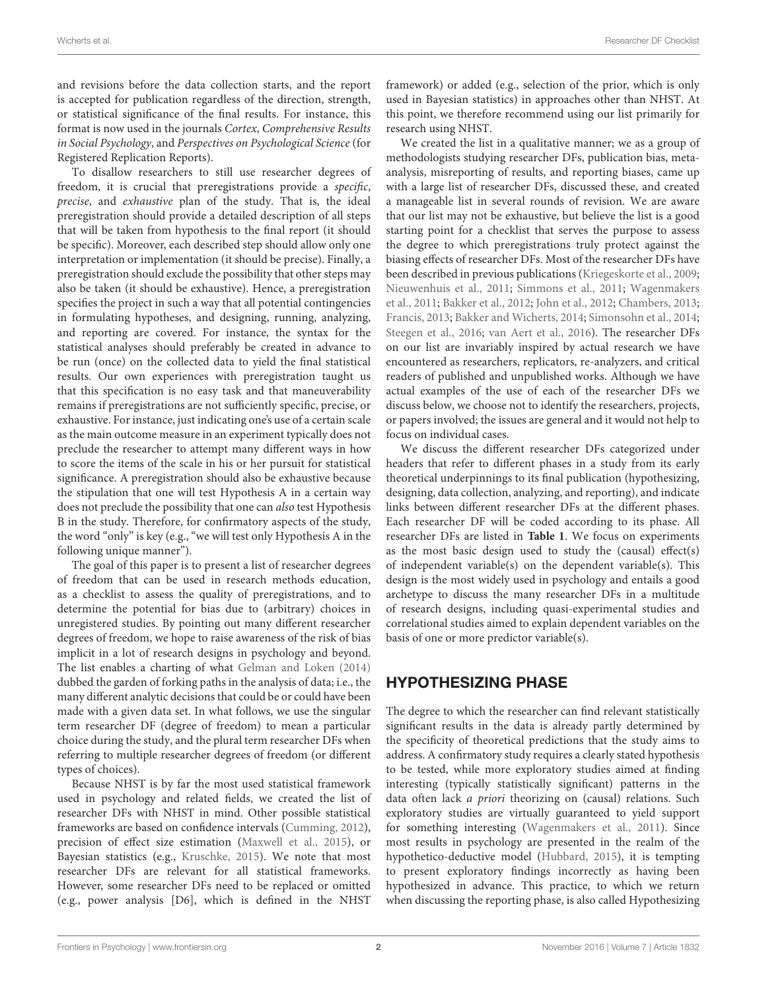and revisions before the data collection starts, and the report is accepted for publication regardless of the direction, strength, or statistical significance of the final results. For instance, this format is now used in the journals Cortex, Comprehensive Results in Social Psychology, and Perspectives on Psychological Science (for Registered Replication Reports).

To disallow researchers to still use researcher degrees of freedom, it is crucial that preregistrations provide a specific, precise, and exhaustive plan of the study. That is, the ideal preregistration should provide a detailed description of all steps that will be taken from hypothesis to the final report (it should be specific). Moreover, each described step should allow only one interpretation or implementation (it should be precise). Finally, a preregistration should exclude the possibility that other steps may also be taken (it should be exhaustive). Hence, a preregistration specifies the project in such a way that all potential contingencies in formulating hypotheses, and designing, running, analyzing, and reporting are covered. For instance, the syntax for the statistical analyses should preferably be created in advance to be run (once) on the collected data to yield the final statistical results. Our own experiences with preregistration taught us that this specification is no easy task and that maneuverability remains if preregistrations are not sufficiently specific, precise, or exhaustive. For instance, just indicating one's use of a certain scale as the main outcome measure in an experiment typically does not preclude the researcher to attempt many different ways in how to score the items of the scale in his or her pursuit for statistical significance. A preregistration should also be exhaustive because the stipulation that one will test Hypothesis A in a certain way does not preclude the possibility that one can also test Hypothesis B in the study. Therefore, for confirmatory aspects of the study, the word "only" is key (e.g., "we will test only Hypothesis A in the following unique manner").

The goal of this paper is to present a list of researcher degrees of freedom that can be used in research methods education, as a checklist to assess the quality of preregistrations, and to determine the potential for bias due to (arbitrary) choices in unregistered studies. By pointing out many different researcher degrees of freedom, we hope to raise awareness of the risk of bias implicit in a lot of research designs in psychology and beyond. The list enables a charting of what [Gelman and Loken](#page-10-9) [\(2014\)](#page-10-9) dubbed the garden of forking paths in the analysis of data; i.e., the many different analytic decisions that could be or could have been made with a given data set. In what follows, we use the singular term researcher DF (degree of freedom) to mean a particular choice during the study, and the plural term researcher DFs when referring to multiple researcher degrees of freedom (or different types of choices).

Because NHST is by far the most used statistical framework used in psychology and related fields, we created the list of researcher DFs with NHST in mind. Other possible statistical frameworks are based on confidence intervals [\(Cumming,](#page-10-10) [2012\)](#page-10-10), precision of effect size estimation [\(Maxwell et al.,](#page-10-11) [2015\)](#page-10-11), or Bayesian statistics (e.g., [Kruschke,](#page-10-12) [2015\)](#page-10-12). We note that most researcher DFs are relevant for all statistical frameworks. However, some researcher DFs need to be replaced or omitted (e.g., power analysis [D6], which is defined in the NHST

framework) or added (e.g., selection of the prior, which is only used in Bayesian statistics) in approaches other than NHST. At this point, we therefore recommend using our list primarily for research using NHST.

We created the list in a qualitative manner; we as a group of methodologists studying researcher DFs, publication bias, metaanalysis, misreporting of results, and reporting biases, came up with a large list of researcher DFs, discussed these, and created a manageable list in several rounds of revision. We are aware that our list may not be exhaustive, but believe the list is a good starting point for a checklist that serves the purpose to assess the degree to which preregistrations truly protect against the biasing effects of researcher DFs. Most of the researcher DFs have been described in previous publications [\(Kriegeskorte et al.,](#page-10-13) [2009;](#page-10-13) [Nieuwenhuis et al.,](#page-10-14) [2011;](#page-10-14) [Simmons et al.,](#page-10-0) [2011;](#page-10-0) [Wagenmakers](#page-10-15) [et al.,](#page-10-15) [2011;](#page-10-15) [Bakker et al.,](#page-9-0) [2012;](#page-9-0) [John et al.,](#page-10-16) [2012;](#page-10-16) [Chambers,](#page-9-2) [2013;](#page-9-2) [Francis,](#page-10-17) [2013;](#page-10-17) [Bakker and Wicherts,](#page-9-3) [2014;](#page-9-3) [Simonsohn et al.,](#page-10-4) [2014;](#page-10-4) [Steegen et al.,](#page-10-18) [2016;](#page-10-18) [van Aert et al.,](#page-10-5) [2016\)](#page-10-5). The researcher DFs on our list are invariably inspired by actual research we have encountered as researchers, replicators, re-analyzers, and critical readers of published and unpublished works. Although we have actual examples of the use of each of the researcher DFs we discuss below, we choose not to identify the researchers, projects, or papers involved; the issues are general and it would not help to focus on individual cases.

We discuss the different researcher DFs categorized under headers that refer to different phases in a study from its early theoretical underpinnings to its final publication (hypothesizing, designing, data collection, analyzing, and reporting), and indicate links between different researcher DFs at the different phases. Each researcher DF will be coded according to its phase. All researcher DFs are listed in **[Table 1](#page-2-0)**. We focus on experiments as the most basic design used to study the (causal) effect(s) of independent variable(s) on the dependent variable(s). This design is the most widely used in psychology and entails a good archetype to discuss the many researcher DFs in a multitude of research designs, including quasi-experimental studies and correlational studies aimed to explain dependent variables on the basis of one or more predictor variable(s).

# HYPOTHESIZING PHASE

The degree to which the researcher can find relevant statistically significant results in the data is already partly determined by the specificity of theoretical predictions that the study aims to address. A confirmatory study requires a clearly stated hypothesis to be tested, while more exploratory studies aimed at finding interesting (typically statistically significant) patterns in the data often lack a priori theorizing on (causal) relations. Such exploratory studies are virtually guaranteed to yield support for something interesting [\(Wagenmakers et al.,](#page-10-15) [2011\)](#page-10-15). Since most results in psychology are presented in the realm of the hypothetico-deductive model [\(Hubbard,](#page-10-19) [2015\)](#page-10-19), it is tempting to present exploratory findings incorrectly as having been hypothesized in advance. This practice, to which we return when discussing the reporting phase, is also called Hypothesizing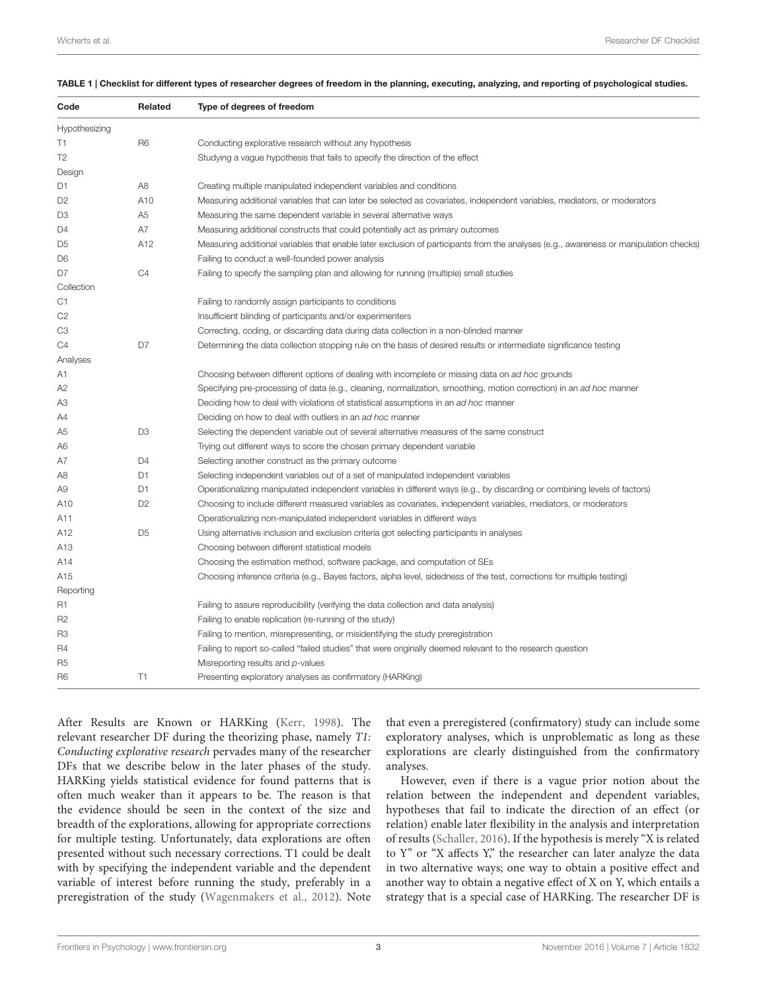<span id="page-2-0"></span>

| TABLE 1   Checklist for different types of researcher degrees of freedom in the planning, executing, analyzing, and reporting of psychological studies. |  |
|---------------------------------------------------------------------------------------------------------------------------------------------------------|--|
|---------------------------------------------------------------------------------------------------------------------------------------------------------|--|

| Related<br>Type of degrees of freedom                                                                                                 |  |
|---------------------------------------------------------------------------------------------------------------------------------------|--|
|                                                                                                                                       |  |
| Conducting explorative research without any hypothesis                                                                                |  |
| Studying a vague hypothesis that fails to specify the direction of the effect                                                         |  |
|                                                                                                                                       |  |
| Creating multiple manipulated independent variables and conditions                                                                    |  |
| Measuring additional variables that can later be selected as covariates, independent variables, mediators, or moderators              |  |
| Measuring the same dependent variable in several alternative ways                                                                     |  |
| Measuring additional constructs that could potentially act as primary outcomes                                                        |  |
| Measuring additional variables that enable later exclusion of participants from the analyses (e.g., awareness or manipulation checks) |  |
| Failing to conduct a well-founded power analysis                                                                                      |  |
| Failing to specify the sampling plan and allowing for running (multiple) small studies                                                |  |
|                                                                                                                                       |  |
| Failing to randomly assign participants to conditions                                                                                 |  |
| Insufficient blinding of participants and/or experimenters                                                                            |  |
| Correcting, coding, or discarding data during data collection in a non-blinded manner                                                 |  |
| Determining the data collection stopping rule on the basis of desired results or intermediate significance testing                    |  |
|                                                                                                                                       |  |
| Choosing between different options of dealing with incomplete or missing data on ad hoc grounds                                       |  |
| Specifying pre-processing of data (e.g., cleaning, normalization, smoothing, motion correction) in an ad hoc manner                   |  |
| Deciding how to deal with violations of statistical assumptions in an ad hoc manner                                                   |  |
| Deciding on how to deal with outliers in an ad hoc manner                                                                             |  |
| Selecting the dependent variable out of several alternative measures of the same construct                                            |  |
| Trying out different ways to score the chosen primary dependent variable                                                              |  |
| Selecting another construct as the primary outcome                                                                                    |  |
| Selecting independent variables out of a set of manipulated independent variables                                                     |  |
| Operationalizing manipulated independent variables in different ways (e.g., by discarding or combining levels of factors)             |  |
| Choosing to include different measured variables as covariates, independent variables, mediators, or moderators                       |  |
| Operationalizing non-manipulated independent variables in different ways                                                              |  |
| Using alternative inclusion and exclusion criteria got selecting participants in analyses                                             |  |
| Choosing between different statistical models                                                                                         |  |
| Choosing the estimation method, software package, and computation of SEs                                                              |  |
| Choosing inference criteria (e.g., Bayes factors, alpha level, sidedness of the test, corrections for multiple testing)               |  |
|                                                                                                                                       |  |
| Failing to assure reproducibility (verifying the data collection and data analysis)                                                   |  |
| Failing to enable replication (re-running of the study)                                                                               |  |
| Failing to mention, misrepresenting, or misidentifying the study preregistration                                                      |  |
| Failing to report so-called "failed studies" that were originally deemed relevant to the research question                            |  |
| Misreporting results and p-values                                                                                                     |  |
| Presenting exploratory analyses as confirmatory (HARKing)                                                                             |  |
|                                                                                                                                       |  |

After Results are Known or HARKing [\(Kerr,](#page-10-20) [1998\)](#page-10-20). The relevant researcher DF during the theorizing phase, namely T1: Conducting explorative research pervades many of the researcher DFs that we describe below in the later phases of the study. HARKing yields statistical evidence for found patterns that is often much weaker than it appears to be. The reason is that the evidence should be seen in the context of the size and breadth of the explorations, allowing for appropriate corrections for multiple testing. Unfortunately, data explorations are often presented without such necessary corrections. T1 could be dealt with by specifying the independent variable and the dependent variable of interest before running the study, preferably in a preregistration of the study [\(Wagenmakers et al.,](#page-10-7) [2012\)](#page-10-7). Note that even a preregistered (confirmatory) study can include some exploratory analyses, which is unproblematic as long as these explorations are clearly distinguished from the confirmatory analyses.

However, even if there is a vague prior notion about the relation between the independent and dependent variables, hypotheses that fail to indicate the direction of an effect (or relation) enable later flexibility in the analysis and interpretation of results [\(Schaller,](#page-10-21) [2016\)](#page-10-21). If the hypothesis is merely "X is related to Y" or "X affects Y," the researcher can later analyze the data in two alternative ways; one way to obtain a positive effect and another way to obtain a negative effect of X on Y, which entails a strategy that is a special case of HARKing. The researcher DF is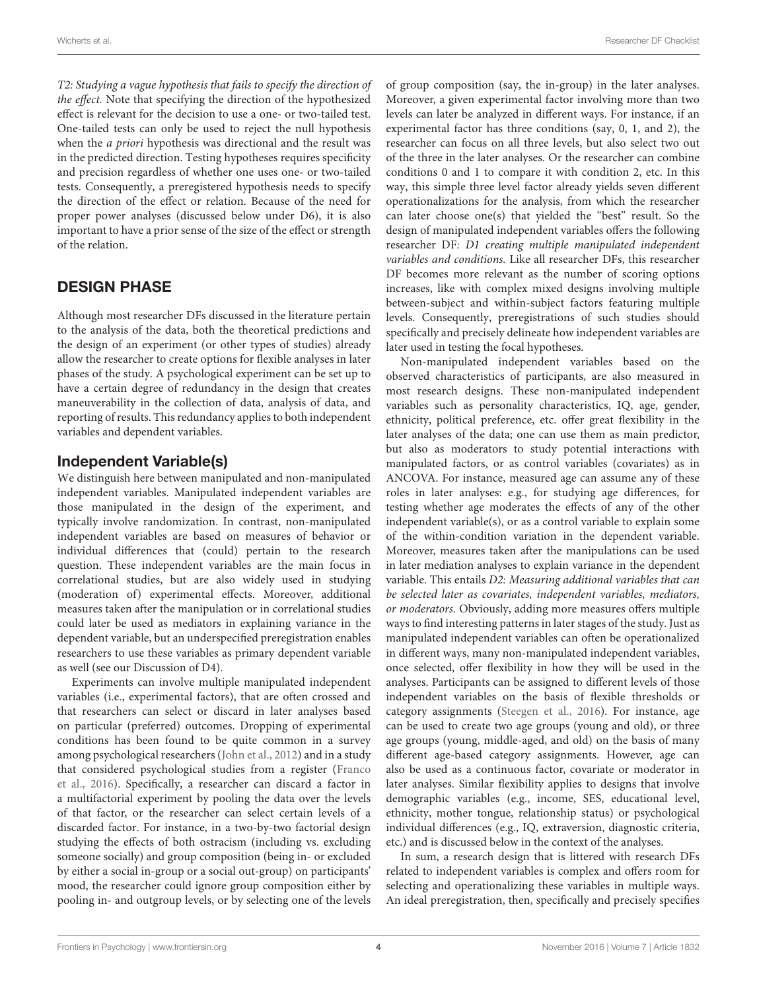T2: Studying a vague hypothesis that fails to specify the direction of the effect. Note that specifying the direction of the hypothesized effect is relevant for the decision to use a one- or two-tailed test. One-tailed tests can only be used to reject the null hypothesis when the a priori hypothesis was directional and the result was in the predicted direction. Testing hypotheses requires specificity and precision regardless of whether one uses one- or two-tailed tests. Consequently, a preregistered hypothesis needs to specify the direction of the effect or relation. Because of the need for proper power analyses (discussed below under D6), it is also important to have a prior sense of the size of the effect or strength of the relation.

# DESIGN PHASE

Although most researcher DFs discussed in the literature pertain to the analysis of the data, both the theoretical predictions and the design of an experiment (or other types of studies) already allow the researcher to create options for flexible analyses in later phases of the study. A psychological experiment can be set up to have a certain degree of redundancy in the design that creates maneuverability in the collection of data, analysis of data, and reporting of results. This redundancy applies to both independent variables and dependent variables.

#### Independent Variable(s)

We distinguish here between manipulated and non-manipulated independent variables. Manipulated independent variables are those manipulated in the design of the experiment, and typically involve randomization. In contrast, non-manipulated independent variables are based on measures of behavior or individual differences that (could) pertain to the research question. These independent variables are the main focus in correlational studies, but are also widely used in studying (moderation of) experimental effects. Moreover, additional measures taken after the manipulation or in correlational studies could later be used as mediators in explaining variance in the dependent variable, but an underspecified preregistration enables researchers to use these variables as primary dependent variable as well (see our Discussion of D4).

Experiments can involve multiple manipulated independent variables (i.e., experimental factors), that are often crossed and that researchers can select or discard in later analyses based on particular (preferred) outcomes. Dropping of experimental conditions has been found to be quite common in a survey among psychological researchers [\(John et al.,](#page-10-16) [2012\)](#page-10-16) and in a study that considered psychological studies from a register [\(Franco](#page-10-22) [et al.,](#page-10-22) [2016\)](#page-10-22). Specifically, a researcher can discard a factor in a multifactorial experiment by pooling the data over the levels of that factor, or the researcher can select certain levels of a discarded factor. For instance, in a two-by-two factorial design studying the effects of both ostracism (including vs. excluding someone socially) and group composition (being in- or excluded by either a social in-group or a social out-group) on participants' mood, the researcher could ignore group composition either by pooling in- and outgroup levels, or by selecting one of the levels

of group composition (say, the in-group) in the later analyses. Moreover, a given experimental factor involving more than two levels can later be analyzed in different ways. For instance, if an experimental factor has three conditions (say, 0, 1, and 2), the researcher can focus on all three levels, but also select two out of the three in the later analyses. Or the researcher can combine conditions 0 and 1 to compare it with condition 2, etc. In this way, this simple three level factor already yields seven different operationalizations for the analysis, from which the researcher can later choose one(s) that yielded the "best" result. So the design of manipulated independent variables offers the following researcher DF: D1 creating multiple manipulated independent variables and conditions. Like all researcher DFs, this researcher DF becomes more relevant as the number of scoring options increases, like with complex mixed designs involving multiple between-subject and within-subject factors featuring multiple levels. Consequently, preregistrations of such studies should specifically and precisely delineate how independent variables are later used in testing the focal hypotheses.

Non-manipulated independent variables based on the observed characteristics of participants, are also measured in most research designs. These non-manipulated independent variables such as personality characteristics, IQ, age, gender, ethnicity, political preference, etc. offer great flexibility in the later analyses of the data; one can use them as main predictor, but also as moderators to study potential interactions with manipulated factors, or as control variables (covariates) as in ANCOVA. For instance, measured age can assume any of these roles in later analyses: e.g., for studying age differences, for testing whether age moderates the effects of any of the other independent variable(s), or as a control variable to explain some of the within-condition variation in the dependent variable. Moreover, measures taken after the manipulations can be used in later mediation analyses to explain variance in the dependent variable. This entails D2: Measuring additional variables that can be selected later as covariates, independent variables, mediators, or moderators. Obviously, adding more measures offers multiple ways to find interesting patterns in later stages of the study. Just as manipulated independent variables can often be operationalized in different ways, many non-manipulated independent variables, once selected, offer flexibility in how they will be used in the analyses. Participants can be assigned to different levels of those independent variables on the basis of flexible thresholds or category assignments [\(Steegen et al.,](#page-10-18) [2016\)](#page-10-18). For instance, age can be used to create two age groups (young and old), or three age groups (young, middle-aged, and old) on the basis of many different age-based category assignments. However, age can also be used as a continuous factor, covariate or moderator in later analyses. Similar flexibility applies to designs that involve demographic variables (e.g., income, SES, educational level, ethnicity, mother tongue, relationship status) or psychological individual differences (e.g., IQ, extraversion, diagnostic criteria, etc.) and is discussed below in the context of the analyses.

In sum, a research design that is littered with research DFs related to independent variables is complex and offers room for selecting and operationalizing these variables in multiple ways. An ideal preregistration, then, specifically and precisely specifies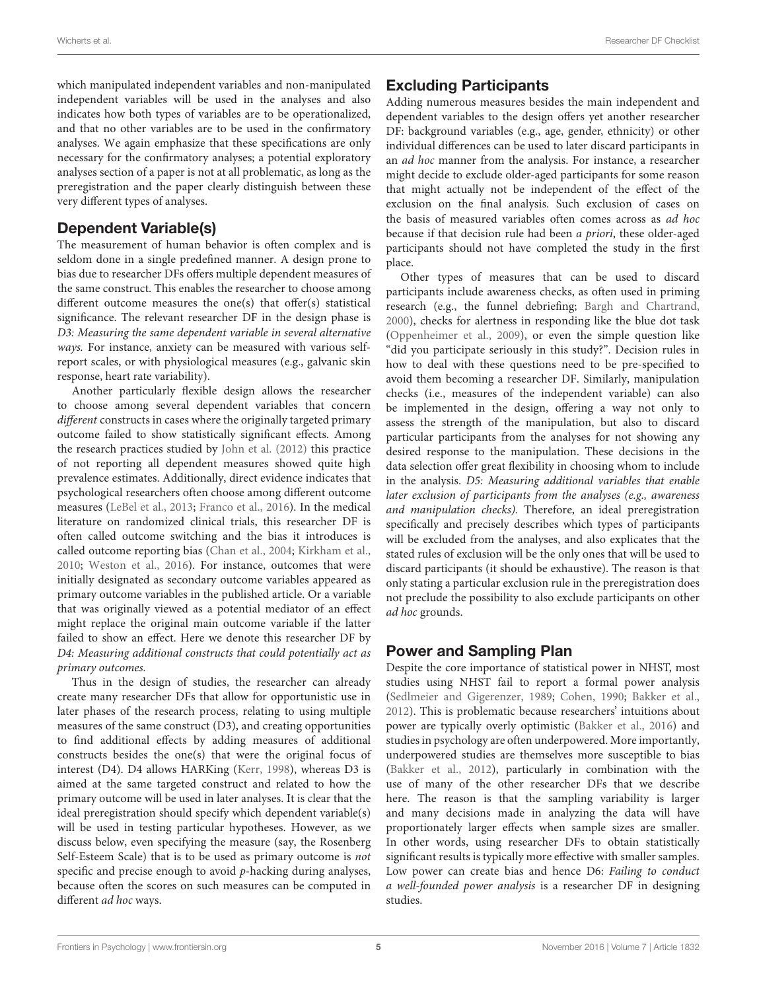which manipulated independent variables and non-manipulated independent variables will be used in the analyses and also indicates how both types of variables are to be operationalized, and that no other variables are to be used in the confirmatory analyses. We again emphasize that these specifications are only necessary for the confirmatory analyses; a potential exploratory analyses section of a paper is not at all problematic, as long as the preregistration and the paper clearly distinguish between these very different types of analyses.

#### Dependent Variable(s)

The measurement of human behavior is often complex and is seldom done in a single predefined manner. A design prone to bias due to researcher DFs offers multiple dependent measures of the same construct. This enables the researcher to choose among different outcome measures the one(s) that offer(s) statistical significance. The relevant researcher DF in the design phase is D3: Measuring the same dependent variable in several alternative ways. For instance, anxiety can be measured with various selfreport scales, or with physiological measures (e.g., galvanic skin response, heart rate variability).

Another particularly flexible design allows the researcher to choose among several dependent variables that concern different constructs in cases where the originally targeted primary outcome failed to show statistically significant effects. Among the research practices studied by [John et al.](#page-10-16) [\(2012\)](#page-10-16) this practice of not reporting all dependent measures showed quite high prevalence estimates. Additionally, direct evidence indicates that psychological researchers often choose among different outcome measures [\(LeBel et al.,](#page-10-23) [2013;](#page-10-23) [Franco et al.,](#page-10-22) [2016\)](#page-10-22). In the medical literature on randomized clinical trials, this researcher DF is often called outcome switching and the bias it introduces is called outcome reporting bias [\(Chan et al.,](#page-9-4) [2004;](#page-9-4) [Kirkham et al.,](#page-10-24) [2010;](#page-10-24) [Weston et al.,](#page-10-25) [2016\)](#page-10-25). For instance, outcomes that were initially designated as secondary outcome variables appeared as primary outcome variables in the published article. Or a variable that was originally viewed as a potential mediator of an effect might replace the original main outcome variable if the latter failed to show an effect. Here we denote this researcher DF by D4: Measuring additional constructs that could potentially act as primary outcomes.

Thus in the design of studies, the researcher can already create many researcher DFs that allow for opportunistic use in later phases of the research process, relating to using multiple measures of the same construct (D3), and creating opportunities to find additional effects by adding measures of additional constructs besides the one(s) that were the original focus of interest (D4). D4 allows HARKing [\(Kerr,](#page-10-20) [1998\)](#page-10-20), whereas D3 is aimed at the same targeted construct and related to how the primary outcome will be used in later analyses. It is clear that the ideal preregistration should specify which dependent variable(s) will be used in testing particular hypotheses. However, as we discuss below, even specifying the measure (say, the Rosenberg Self-Esteem Scale) that is to be used as primary outcome is not specific and precise enough to avoid p-hacking during analyses, because often the scores on such measures can be computed in different ad hoc ways.

### Excluding Participants

Adding numerous measures besides the main independent and dependent variables to the design offers yet another researcher DF: background variables (e.g., age, gender, ethnicity) or other individual differences can be used to later discard participants in an ad hoc manner from the analysis. For instance, a researcher might decide to exclude older-aged participants for some reason that might actually not be independent of the effect of the exclusion on the final analysis. Such exclusion of cases on the basis of measured variables often comes across as ad hoc because if that decision rule had been a priori, these older-aged participants should not have completed the study in the first place.

Other types of measures that can be used to discard participants include awareness checks, as often used in priming research (e.g., the funnel debriefing; [Bargh and Chartrand,](#page-9-5) [2000\)](#page-9-5), checks for alertness in responding like the blue dot task [\(Oppenheimer et al.,](#page-10-26) [2009\)](#page-10-26), or even the simple question like "did you participate seriously in this study?". Decision rules in how to deal with these questions need to be pre-specified to avoid them becoming a researcher DF. Similarly, manipulation checks (i.e., measures of the independent variable) can also be implemented in the design, offering a way not only to assess the strength of the manipulation, but also to discard particular participants from the analyses for not showing any desired response to the manipulation. These decisions in the data selection offer great flexibility in choosing whom to include in the analysis. D5: Measuring additional variables that enable later exclusion of participants from the analyses (e.g., awareness and manipulation checks). Therefore, an ideal preregistration specifically and precisely describes which types of participants will be excluded from the analyses, and also explicates that the stated rules of exclusion will be the only ones that will be used to discard participants (it should be exhaustive). The reason is that only stating a particular exclusion rule in the preregistration does not preclude the possibility to also exclude participants on other ad hoc grounds.

# Power and Sampling Plan

Despite the core importance of statistical power in NHST, most studies using NHST fail to report a formal power analysis [\(Sedlmeier and Gigerenzer,](#page-10-27) [1989;](#page-10-27) [Cohen,](#page-9-6) [1990;](#page-9-6) [Bakker et al.,](#page-9-0) [2012\)](#page-9-0). This is problematic because researchers' intuitions about power are typically overly optimistic [\(Bakker et al.,](#page-9-7) [2016\)](#page-9-7) and studies in psychology are often underpowered. More importantly, underpowered studies are themselves more susceptible to bias [\(Bakker et al.,](#page-9-0) [2012\)](#page-9-0), particularly in combination with the use of many of the other researcher DFs that we describe here. The reason is that the sampling variability is larger and many decisions made in analyzing the data will have proportionately larger effects when sample sizes are smaller. In other words, using researcher DFs to obtain statistically significant results is typically more effective with smaller samples. Low power can create bias and hence D6: Failing to conduct a well-founded power analysis is a researcher DF in designing studies.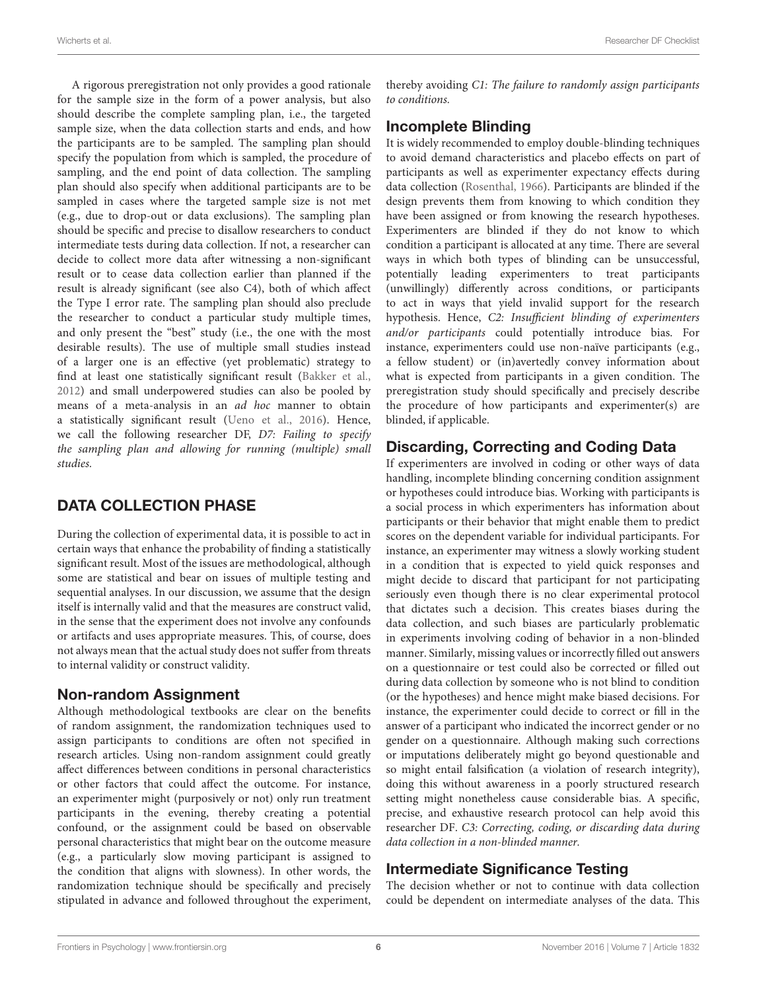A rigorous preregistration not only provides a good rationale for the sample size in the form of a power analysis, but also should describe the complete sampling plan, i.e., the targeted sample size, when the data collection starts and ends, and how the participants are to be sampled. The sampling plan should specify the population from which is sampled, the procedure of sampling, and the end point of data collection. The sampling plan should also specify when additional participants are to be sampled in cases where the targeted sample size is not met (e.g., due to drop-out or data exclusions). The sampling plan should be specific and precise to disallow researchers to conduct intermediate tests during data collection. If not, a researcher can decide to collect more data after witnessing a non-significant result or to cease data collection earlier than planned if the result is already significant (see also C4), both of which affect the Type I error rate. The sampling plan should also preclude the researcher to conduct a particular study multiple times, and only present the "best" study (i.e., the one with the most desirable results). The use of multiple small studies instead of a larger one is an effective (yet problematic) strategy to find at least one statistically significant result [\(Bakker et al.,](#page-9-0) [2012\)](#page-9-0) and small underpowered studies can also be pooled by means of a meta-analysis in an ad hoc manner to obtain a statistically significant result [\(Ueno et al.,](#page-10-28) [2016\)](#page-10-28). Hence, we call the following researcher DF, D7: Failing to specify the sampling plan and allowing for running (multiple) small studies.

# DATA COLLECTION PHASE

During the collection of experimental data, it is possible to act in certain ways that enhance the probability of finding a statistically significant result. Most of the issues are methodological, although some are statistical and bear on issues of multiple testing and sequential analyses. In our discussion, we assume that the design itself is internally valid and that the measures are construct valid, in the sense that the experiment does not involve any confounds or artifacts and uses appropriate measures. This, of course, does not always mean that the actual study does not suffer from threats to internal validity or construct validity.

# Non-random Assignment

Although methodological textbooks are clear on the benefits of random assignment, the randomization techniques used to assign participants to conditions are often not specified in research articles. Using non-random assignment could greatly affect differences between conditions in personal characteristics or other factors that could affect the outcome. For instance, an experimenter might (purposively or not) only run treatment participants in the evening, thereby creating a potential confound, or the assignment could be based on observable personal characteristics that might bear on the outcome measure (e.g., a particularly slow moving participant is assigned to the condition that aligns with slowness). In other words, the randomization technique should be specifically and precisely stipulated in advance and followed throughout the experiment,

thereby avoiding C1: The failure to randomly assign participants to conditions.

# Incomplete Blinding

It is widely recommended to employ double-blinding techniques to avoid demand characteristics and placebo effects on part of participants as well as experimenter expectancy effects during data collection [\(Rosenthal,](#page-10-29) [1966\)](#page-10-29). Participants are blinded if the design prevents them from knowing to which condition they have been assigned or from knowing the research hypotheses. Experimenters are blinded if they do not know to which condition a participant is allocated at any time. There are several ways in which both types of blinding can be unsuccessful, potentially leading experimenters to treat participants (unwillingly) differently across conditions, or participants to act in ways that yield invalid support for the research hypothesis. Hence, C2: Insufficient blinding of experimenters and/or participants could potentially introduce bias. For instance, experimenters could use non-naïve participants (e.g., a fellow student) or (in)avertedly convey information about what is expected from participants in a given condition. The preregistration study should specifically and precisely describe the procedure of how participants and experimenter(s) are blinded, if applicable.

# Discarding, Correcting and Coding Data

If experimenters are involved in coding or other ways of data handling, incomplete blinding concerning condition assignment or hypotheses could introduce bias. Working with participants is a social process in which experimenters has information about participants or their behavior that might enable them to predict scores on the dependent variable for individual participants. For instance, an experimenter may witness a slowly working student in a condition that is expected to yield quick responses and might decide to discard that participant for not participating seriously even though there is no clear experimental protocol that dictates such a decision. This creates biases during the data collection, and such biases are particularly problematic in experiments involving coding of behavior in a non-blinded manner. Similarly, missing values or incorrectly filled out answers on a questionnaire or test could also be corrected or filled out during data collection by someone who is not blind to condition (or the hypotheses) and hence might make biased decisions. For instance, the experimenter could decide to correct or fill in the answer of a participant who indicated the incorrect gender or no gender on a questionnaire. Although making such corrections or imputations deliberately might go beyond questionable and so might entail falsification (a violation of research integrity), doing this without awareness in a poorly structured research setting might nonetheless cause considerable bias. A specific, precise, and exhaustive research protocol can help avoid this researcher DF. C3: Correcting, coding, or discarding data during data collection in a non-blinded manner.

# Intermediate Significance Testing

The decision whether or not to continue with data collection could be dependent on intermediate analyses of the data. This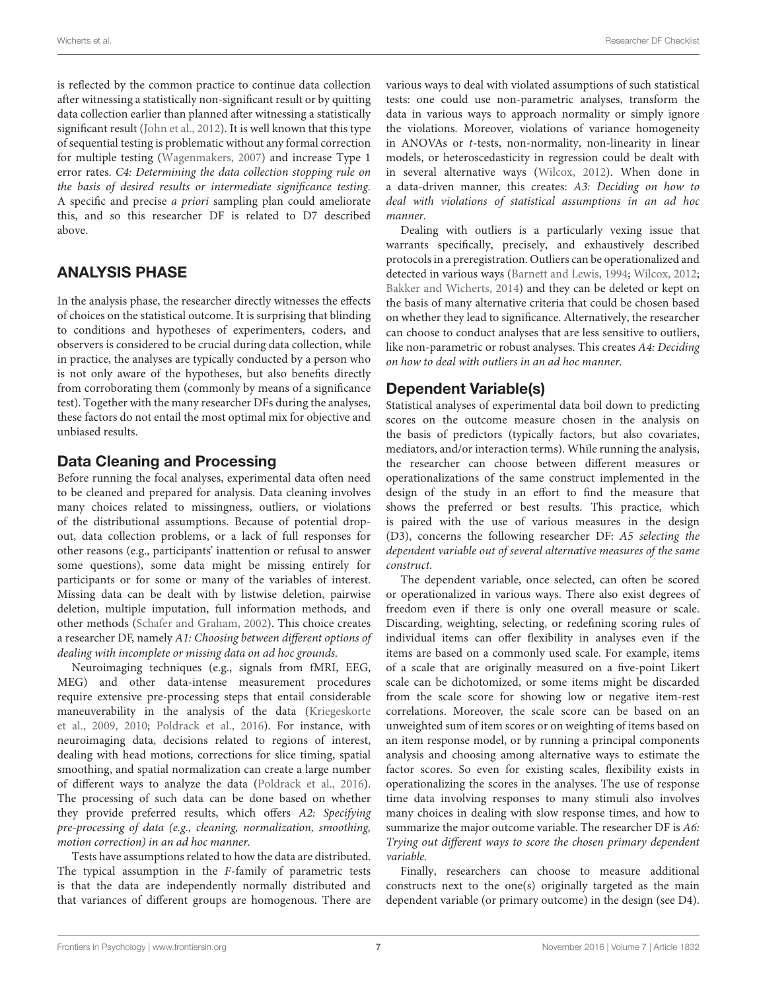is reflected by the common practice to continue data collection after witnessing a statistically non-significant result or by quitting data collection earlier than planned after witnessing a statistically significant result [\(John et al.,](#page-10-16) [2012\)](#page-10-16). It is well known that this type of sequential testing is problematic without any formal correction for multiple testing [\(Wagenmakers,](#page-10-30) [2007\)](#page-10-30) and increase Type 1 error rates. C4: Determining the data collection stopping rule on the basis of desired results or intermediate significance testing. A specific and precise a priori sampling plan could ameliorate this, and so this researcher DF is related to D7 described above.

# ANALYSIS PHASE

In the analysis phase, the researcher directly witnesses the effects of choices on the statistical outcome. It is surprising that blinding to conditions and hypotheses of experimenters, coders, and observers is considered to be crucial during data collection, while in practice, the analyses are typically conducted by a person who is not only aware of the hypotheses, but also benefits directly from corroborating them (commonly by means of a significance test). Together with the many researcher DFs during the analyses, these factors do not entail the most optimal mix for objective and unbiased results.

#### Data Cleaning and Processing

Before running the focal analyses, experimental data often need to be cleaned and prepared for analysis. Data cleaning involves many choices related to missingness, outliers, or violations of the distributional assumptions. Because of potential dropout, data collection problems, or a lack of full responses for other reasons (e.g., participants' inattention or refusal to answer some questions), some data might be missing entirely for participants or for some or many of the variables of interest. Missing data can be dealt with by listwise deletion, pairwise deletion, multiple imputation, full information methods, and other methods [\(Schafer and Graham,](#page-10-31) [2002\)](#page-10-31). This choice creates a researcher DF, namely A1: Choosing between different options of dealing with incomplete or missing data on ad hoc grounds.

Neuroimaging techniques (e.g., signals from fMRI, EEG, MEG) and other data-intense measurement procedures require extensive pre-processing steps that entail considerable maneuverability in the analysis of the data [\(Kriegeskorte](#page-10-13) [et al.,](#page-10-13) [2009,](#page-10-13) [2010;](#page-10-32) [Poldrack et al.,](#page-10-33) [2016\)](#page-10-33). For instance, with neuroimaging data, decisions related to regions of interest, dealing with head motions, corrections for slice timing, spatial smoothing, and spatial normalization can create a large number of different ways to analyze the data [\(Poldrack et al.,](#page-10-33) [2016\)](#page-10-33). The processing of such data can be done based on whether they provide preferred results, which offers A2: Specifying pre-processing of data (e.g., cleaning, normalization, smoothing, motion correction) in an ad hoc manner.

Tests have assumptions related to how the data are distributed. The typical assumption in the F-family of parametric tests is that the data are independently normally distributed and that variances of different groups are homogenous. There are

various ways to deal with violated assumptions of such statistical tests: one could use non-parametric analyses, transform the data in various ways to approach normality or simply ignore the violations. Moreover, violations of variance homogeneity in ANOVAs or t-tests, non-normality, non-linearity in linear models, or heteroscedasticity in regression could be dealt with in several alternative ways [\(Wilcox,](#page-11-0) [2012\)](#page-11-0). When done in a data-driven manner, this creates: A3: Deciding on how to deal with violations of statistical assumptions in an ad hoc manner.

Dealing with outliers is a particularly vexing issue that warrants specifically, precisely, and exhaustively described protocols in a preregistration. Outliers can be operationalized and detected in various ways [\(Barnett and Lewis,](#page-9-8) [1994;](#page-9-8) [Wilcox,](#page-11-0) [2012;](#page-11-0) [Bakker and Wicherts,](#page-9-3) [2014\)](#page-9-3) and they can be deleted or kept on the basis of many alternative criteria that could be chosen based on whether they lead to significance. Alternatively, the researcher can choose to conduct analyses that are less sensitive to outliers, like non-parametric or robust analyses. This creates A4: Deciding on how to deal with outliers in an ad hoc manner.

#### Dependent Variable(s)

Statistical analyses of experimental data boil down to predicting scores on the outcome measure chosen in the analysis on the basis of predictors (typically factors, but also covariates, mediators, and/or interaction terms). While running the analysis, the researcher can choose between different measures or operationalizations of the same construct implemented in the design of the study in an effort to find the measure that shows the preferred or best results. This practice, which is paired with the use of various measures in the design (D3), concerns the following researcher DF: A5 selecting the dependent variable out of several alternative measures of the same construct.

The dependent variable, once selected, can often be scored or operationalized in various ways. There also exist degrees of freedom even if there is only one overall measure or scale. Discarding, weighting, selecting, or redefining scoring rules of individual items can offer flexibility in analyses even if the items are based on a commonly used scale. For example, items of a scale that are originally measured on a five-point Likert scale can be dichotomized, or some items might be discarded from the scale score for showing low or negative item-rest correlations. Moreover, the scale score can be based on an unweighted sum of item scores or on weighting of items based on an item response model, or by running a principal components analysis and choosing among alternative ways to estimate the factor scores. So even for existing scales, flexibility exists in operationalizing the scores in the analyses. The use of response time data involving responses to many stimuli also involves many choices in dealing with slow response times, and how to summarize the major outcome variable. The researcher DF is A6: Trying out different ways to score the chosen primary dependent variable.

Finally, researchers can choose to measure additional constructs next to the one(s) originally targeted as the main dependent variable (or primary outcome) in the design (see D4).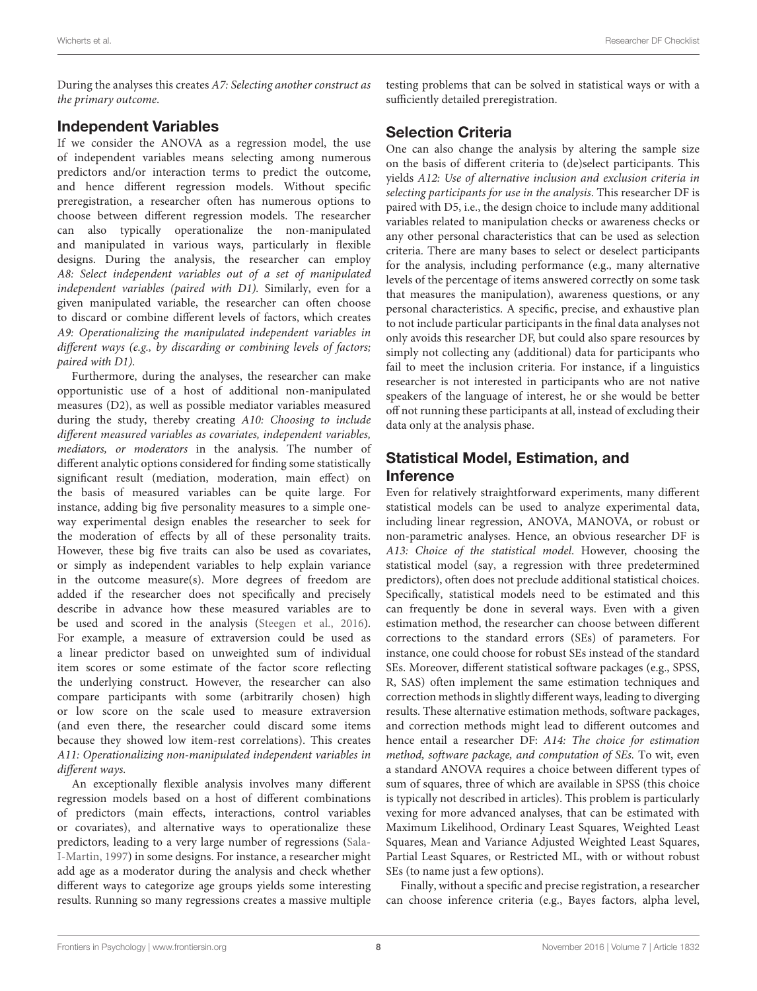During the analyses this creates A7: Selecting another construct as the primary outcome.

#### Independent Variables

If we consider the ANOVA as a regression model, the use of independent variables means selecting among numerous predictors and/or interaction terms to predict the outcome, and hence different regression models. Without specific preregistration, a researcher often has numerous options to choose between different regression models. The researcher can also typically operationalize the non-manipulated and manipulated in various ways, particularly in flexible designs. During the analysis, the researcher can employ A8: Select independent variables out of a set of manipulated independent variables (paired with D1). Similarly, even for a given manipulated variable, the researcher can often choose to discard or combine different levels of factors, which creates A9: Operationalizing the manipulated independent variables in different ways (e.g., by discarding or combining levels of factors; paired with D1).

Furthermore, during the analyses, the researcher can make opportunistic use of a host of additional non-manipulated measures (D2), as well as possible mediator variables measured during the study, thereby creating A10: Choosing to include different measured variables as covariates, independent variables, mediators, or moderators in the analysis. The number of different analytic options considered for finding some statistically significant result (mediation, moderation, main effect) on the basis of measured variables can be quite large. For instance, adding big five personality measures to a simple oneway experimental design enables the researcher to seek for the moderation of effects by all of these personality traits. However, these big five traits can also be used as covariates, or simply as independent variables to help explain variance in the outcome measure(s). More degrees of freedom are added if the researcher does not specifically and precisely describe in advance how these measured variables are to be used and scored in the analysis [\(Steegen et al.,](#page-10-18) [2016\)](#page-10-18). For example, a measure of extraversion could be used as a linear predictor based on unweighted sum of individual item scores or some estimate of the factor score reflecting the underlying construct. However, the researcher can also compare participants with some (arbitrarily chosen) high or low score on the scale used to measure extraversion (and even there, the researcher could discard some items because they showed low item-rest correlations). This creates A11: Operationalizing non-manipulated independent variables in different ways.

An exceptionally flexible analysis involves many different regression models based on a host of different combinations of predictors (main effects, interactions, control variables or covariates), and alternative ways to operationalize these predictors, leading to a very large number of regressions [\(Sala-](#page-10-34)[I-Martin,](#page-10-34) [1997\)](#page-10-34) in some designs. For instance, a researcher might add age as a moderator during the analysis and check whether different ways to categorize age groups yields some interesting results. Running so many regressions creates a massive multiple testing problems that can be solved in statistical ways or with a sufficiently detailed preregistration.

### Selection Criteria

One can also change the analysis by altering the sample size on the basis of different criteria to (de)select participants. This yields A12: Use of alternative inclusion and exclusion criteria in selecting participants for use in the analysis. This researcher DF is paired with D5, i.e., the design choice to include many additional variables related to manipulation checks or awareness checks or any other personal characteristics that can be used as selection criteria. There are many bases to select or deselect participants for the analysis, including performance (e.g., many alternative levels of the percentage of items answered correctly on some task that measures the manipulation), awareness questions, or any personal characteristics. A specific, precise, and exhaustive plan to not include particular participants in the final data analyses not only avoids this researcher DF, but could also spare resources by simply not collecting any (additional) data for participants who fail to meet the inclusion criteria. For instance, if a linguistics researcher is not interested in participants who are not native speakers of the language of interest, he or she would be better off not running these participants at all, instead of excluding their data only at the analysis phase.

# Statistical Model, Estimation, and Inference

Even for relatively straightforward experiments, many different statistical models can be used to analyze experimental data, including linear regression, ANOVA, MANOVA, or robust or non-parametric analyses. Hence, an obvious researcher DF is A13: Choice of the statistical model. However, choosing the statistical model (say, a regression with three predetermined predictors), often does not preclude additional statistical choices. Specifically, statistical models need to be estimated and this can frequently be done in several ways. Even with a given estimation method, the researcher can choose between different corrections to the standard errors (SEs) of parameters. For instance, one could choose for robust SEs instead of the standard SEs. Moreover, different statistical software packages (e.g., SPSS, R, SAS) often implement the same estimation techniques and correction methods in slightly different ways, leading to diverging results. These alternative estimation methods, software packages, and correction methods might lead to different outcomes and hence entail a researcher DF: A14: The choice for estimation method, software package, and computation of SEs. To wit, even a standard ANOVA requires a choice between different types of sum of squares, three of which are available in SPSS (this choice is typically not described in articles). This problem is particularly vexing for more advanced analyses, that can be estimated with Maximum Likelihood, Ordinary Least Squares, Weighted Least Squares, Mean and Variance Adjusted Weighted Least Squares, Partial Least Squares, or Restricted ML, with or without robust SEs (to name just a few options).

Finally, without a specific and precise registration, a researcher can choose inference criteria (e.g., Bayes factors, alpha level,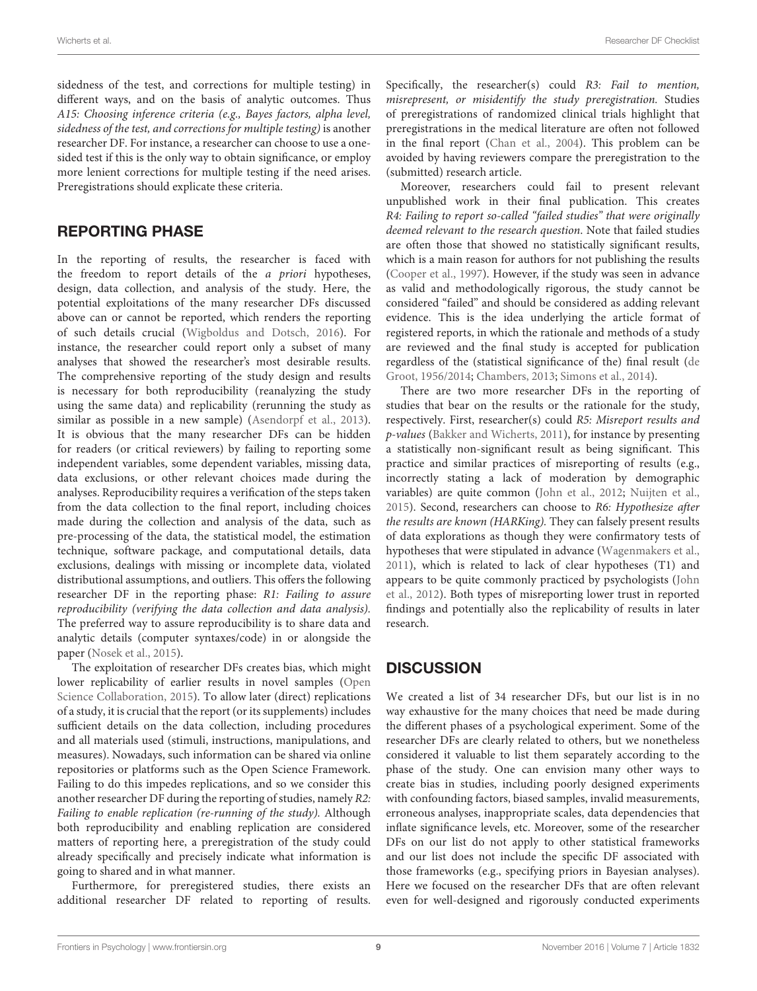sidedness of the test, and corrections for multiple testing) in different ways, and on the basis of analytic outcomes. Thus A15: Choosing inference criteria (e.g., Bayes factors, alpha level, sidedness of the test, and corrections for multiple testing) is another researcher DF. For instance, a researcher can choose to use a onesided test if this is the only way to obtain significance, or employ more lenient corrections for multiple testing if the need arises. Preregistrations should explicate these criteria.

#### REPORTING PHASE

In the reporting of results, the researcher is faced with the freedom to report details of the a priori hypotheses, design, data collection, and analysis of the study. Here, the potential exploitations of the many researcher DFs discussed above can or cannot be reported, which renders the reporting of such details crucial [\(Wigboldus and Dotsch,](#page-11-1) [2016\)](#page-11-1). For instance, the researcher could report only a subset of many analyses that showed the researcher's most desirable results. The comprehensive reporting of the study design and results is necessary for both reproducibility (reanalyzing the study using the same data) and replicability (rerunning the study as similar as possible in a new sample) [\(Asendorpf et al.,](#page-9-1) [2013\)](#page-9-1). It is obvious that the many researcher DFs can be hidden for readers (or critical reviewers) by failing to reporting some independent variables, some dependent variables, missing data, data exclusions, or other relevant choices made during the analyses. Reproducibility requires a verification of the steps taken from the data collection to the final report, including choices made during the collection and analysis of the data, such as pre-processing of the data, the statistical model, the estimation technique, software package, and computational details, data exclusions, dealings with missing or incomplete data, violated distributional assumptions, and outliers. This offers the following researcher DF in the reporting phase: R1: Failing to assure reproducibility (verifying the data collection and data analysis). The preferred way to assure reproducibility is to share data and analytic details (computer syntaxes/code) in or alongside the paper [\(Nosek et al.,](#page-10-35) [2015\)](#page-10-35).

The exploitation of researcher DFs creates bias, which might lower replicability of earlier results in novel samples [\(Open](#page-10-36) [Science Collaboration,](#page-10-36) [2015\)](#page-10-36). To allow later (direct) replications of a study, it is crucial that the report (or its supplements) includes sufficient details on the data collection, including procedures and all materials used (stimuli, instructions, manipulations, and measures). Nowadays, such information can be shared via online repositories or platforms such as the Open Science Framework. Failing to do this impedes replications, and so we consider this another researcher DF during the reporting of studies, namely R2: Failing to enable replication (re-running of the study). Although both reproducibility and enabling replication are considered matters of reporting here, a preregistration of the study could already specifically and precisely indicate what information is going to shared and in what manner.

Furthermore, for preregistered studies, there exists an additional researcher DF related to reporting of results. Specifically, the researcher(s) could R3: Fail to mention, misrepresent, or misidentify the study preregistration. Studies of preregistrations of randomized clinical trials highlight that preregistrations in the medical literature are often not followed in the final report [\(Chan et al.,](#page-9-4) [2004\)](#page-9-4). This problem can be avoided by having reviewers compare the preregistration to the (submitted) research article.

Moreover, researchers could fail to present relevant unpublished work in their final publication. This creates R4: Failing to report so-called "failed studies" that were originally deemed relevant to the research question. Note that failed studies are often those that showed no statistically significant results, which is a main reason for authors for not publishing the results [\(Cooper et al.,](#page-10-37) [1997\)](#page-10-37). However, if the study was seen in advance as valid and methodologically rigorous, the study cannot be considered "failed" and should be considered as adding relevant evidence. This is the idea underlying the article format of registered reports, in which the rationale and methods of a study are reviewed and the final study is accepted for publication regardless of the (statistical significance of the) final result [\(de](#page-10-6) [Groot,](#page-10-6) [1956/2014;](#page-10-6) [Chambers,](#page-9-2) [2013;](#page-9-2) [Simons et al.,](#page-10-38) [2014\)](#page-10-38).

There are two more researcher DFs in the reporting of studies that bear on the results or the rationale for the study, respectively. First, researcher(s) could R5: Misreport results and p-values [\(Bakker and Wicherts,](#page-9-9) [2011\)](#page-9-9), for instance by presenting a statistically non-significant result as being significant. This practice and similar practices of misreporting of results (e.g., incorrectly stating a lack of moderation by demographic variables) are quite common [\(John et al.,](#page-10-16) [2012;](#page-10-16) [Nuijten et al.,](#page-10-39) [2015\)](#page-10-39). Second, researchers can choose to R6: Hypothesize after the results are known (HARKing). They can falsely present results of data explorations as though they were confirmatory tests of hypotheses that were stipulated in advance [\(Wagenmakers et al.,](#page-10-15) [2011\)](#page-10-15), which is related to lack of clear hypotheses (T1) and appears to be quite commonly practiced by psychologists [\(John](#page-10-16) [et al.,](#page-10-16) [2012\)](#page-10-16). Both types of misreporting lower trust in reported findings and potentially also the replicability of results in later research.

# **DISCUSSION**

We created a list of 34 researcher DFs, but our list is in no way exhaustive for the many choices that need be made during the different phases of a psychological experiment. Some of the researcher DFs are clearly related to others, but we nonetheless considered it valuable to list them separately according to the phase of the study. One can envision many other ways to create bias in studies, including poorly designed experiments with confounding factors, biased samples, invalid measurements, erroneous analyses, inappropriate scales, data dependencies that inflate significance levels, etc. Moreover, some of the researcher DFs on our list do not apply to other statistical frameworks and our list does not include the specific DF associated with those frameworks (e.g., specifying priors in Bayesian analyses). Here we focused on the researcher DFs that are often relevant even for well-designed and rigorously conducted experiments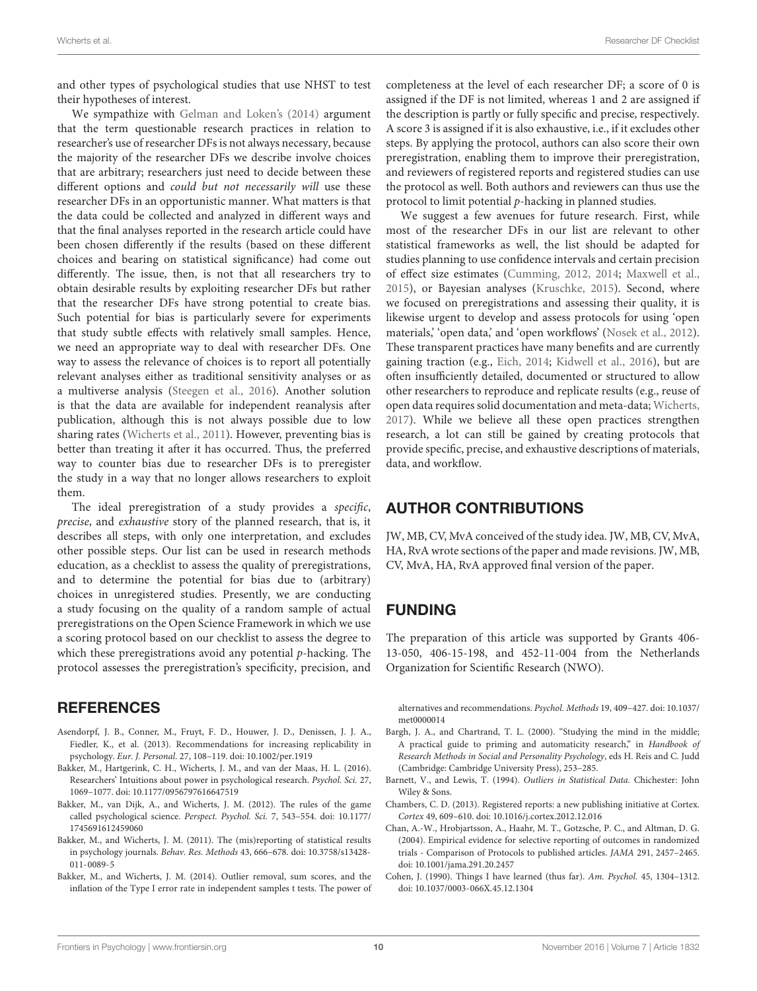and other types of psychological studies that use NHST to test their hypotheses of interest.

We sympathize with [Gelman and Loken's](#page-10-9) [\(2014\)](#page-10-9) argument that the term questionable research practices in relation to researcher's use of researcher DFs is not always necessary, because the majority of the researcher DFs we describe involve choices that are arbitrary; researchers just need to decide between these different options and could but not necessarily will use these researcher DFs in an opportunistic manner. What matters is that the data could be collected and analyzed in different ways and that the final analyses reported in the research article could have been chosen differently if the results (based on these different choices and bearing on statistical significance) had come out differently. The issue, then, is not that all researchers try to obtain desirable results by exploiting researcher DFs but rather that the researcher DFs have strong potential to create bias. Such potential for bias is particularly severe for experiments that study subtle effects with relatively small samples. Hence, we need an appropriate way to deal with researcher DFs. One way to assess the relevance of choices is to report all potentially relevant analyses either as traditional sensitivity analyses or as a multiverse analysis [\(Steegen et al.,](#page-10-18) [2016\)](#page-10-18). Another solution is that the data are available for independent reanalysis after publication, although this is not always possible due to low sharing rates [\(Wicherts et al.,](#page-11-2) [2011\)](#page-11-2). However, preventing bias is better than treating it after it has occurred. Thus, the preferred way to counter bias due to researcher DFs is to preregister the study in a way that no longer allows researchers to exploit them.

The ideal preregistration of a study provides a specific, precise, and exhaustive story of the planned research, that is, it describes all steps, with only one interpretation, and excludes other possible steps. Our list can be used in research methods education, as a checklist to assess the quality of preregistrations, and to determine the potential for bias due to (arbitrary) choices in unregistered studies. Presently, we are conducting a study focusing on the quality of a random sample of actual preregistrations on the Open Science Framework in which we use a scoring protocol based on our checklist to assess the degree to which these preregistrations avoid any potential  $p$ -hacking. The protocol assesses the preregistration's specificity, precision, and

#### **REFERENCES**

- <span id="page-9-1"></span>Asendorpf, J. B., Conner, M., Fruyt, F. D., Houwer, J. D., Denissen, J. J. A., Fiedler, K., et al. (2013). Recommendations for increasing replicability in psychology. Eur. J. Personal. 27, 108–119. [doi: 10.1002/per.1919](https://doi.org/10.1002/per.1919)
- <span id="page-9-7"></span>Bakker, M., Hartgerink, C. H., Wicherts, J. M., and van der Maas, H. L. (2016). Researchers' Intuitions about power in psychological research. Psychol. Sci. 27, 1069–1077. [doi: 10.1177/0956797616647519](https://doi.org/10.1177/0956797616647519)
- <span id="page-9-0"></span>Bakker, M., van Dijk, A., and Wicherts, J. M. (2012). The rules of the game called psychological science. Perspect. Psychol. Sci. 7, 543–554. [doi: 10.1177/](https://doi.org/10.1177/1745691612459060) [1745691612459060](https://doi.org/10.1177/1745691612459060)
- <span id="page-9-9"></span>Bakker, M., and Wicherts, J. M. (2011). The (mis)reporting of statistical results in psychology journals. Behav. Res. Methods 43, 666–678. [doi: 10.3758/s13428-](https://doi.org/10.3758/s13428-011-0089-5) [011-0089-5](https://doi.org/10.3758/s13428-011-0089-5)
- <span id="page-9-3"></span>Bakker, M., and Wicherts, J. M. (2014). Outlier removal, sum scores, and the inflation of the Type I error rate in independent samples t tests. The power of

completeness at the level of each researcher DF; a score of 0 is assigned if the DF is not limited, whereas 1 and 2 are assigned if the description is partly or fully specific and precise, respectively. A score 3 is assigned if it is also exhaustive, i.e., if it excludes other steps. By applying the protocol, authors can also score their own preregistration, enabling them to improve their preregistration, and reviewers of registered reports and registered studies can use the protocol as well. Both authors and reviewers can thus use the protocol to limit potential p-hacking in planned studies.

We suggest a few avenues for future research. First, while most of the researcher DFs in our list are relevant to other statistical frameworks as well, the list should be adapted for studies planning to use confidence intervals and certain precision of effect size estimates [\(Cumming,](#page-10-10) [2012,](#page-10-10) [2014;](#page-10-40) [Maxwell et al.,](#page-10-11) [2015\)](#page-10-11), or Bayesian analyses [\(Kruschke,](#page-10-12) [2015\)](#page-10-12). Second, where we focused on preregistrations and assessing their quality, it is likewise urgent to develop and assess protocols for using 'open materials,' 'open data,' and 'open workflows' [\(Nosek et al.,](#page-10-41) [2012\)](#page-10-41). These transparent practices have many benefits and are currently gaining traction (e.g., [Eich,](#page-10-8) [2014;](#page-10-8) [Kidwell et al.,](#page-10-42) [2016\)](#page-10-42), but are often insufficiently detailed, documented or structured to allow other researchers to reproduce and replicate results (e.g., reuse of open data requires solid documentation and meta-data; [Wicherts,](#page-11-3) [2017\)](#page-11-3). While we believe all these open practices strengthen research, a lot can still be gained by creating protocols that provide specific, precise, and exhaustive descriptions of materials, data, and workflow.

#### AUTHOR CONTRIBUTIONS

JW, MB, CV, MvA conceived of the study idea. JW, MB, CV, MvA, HA, RvA wrote sections of the paper and made revisions. JW, MB, CV, MvA, HA, RvA approved final version of the paper.

#### FUNDING

The preparation of this article was supported by Grants 406- 13-050, 406-15-198, and 452-11-004 from the Netherlands Organization for Scientific Research (NWO).

alternatives and recommendations. Psychol. Methods 19, 409–427. [doi: 10.1037/](https://doi.org/10.1037/met0000014) [met0000014](https://doi.org/10.1037/met0000014)

- <span id="page-9-5"></span>Bargh, J. A., and Chartrand, T. L. (2000). "Studying the mind in the middle; A practical guide to priming and automaticity research," in Handbook of Research Methods in Social and Personality Psychology, eds H. Reis and C. Judd (Cambridge: Cambridge University Press), 253–285.
- <span id="page-9-8"></span>Barnett, V., and Lewis, T. (1994). Outliers in Statistical Data. Chichester: John Wiley & Sons.
- <span id="page-9-2"></span>Chambers, C. D. (2013). Registered reports: a new publishing initiative at Cortex. Cortex 49, 609–610. [doi: 10.1016/j.cortex.2012.12.016](https://doi.org/10.1016/j.cortex.2012.12.016)
- <span id="page-9-4"></span>Chan, A.-W., Hrobjartsson, A., Haahr, M. T., Gotzsche, P. C., and Altman, D. G. (2004). Empirical evidence for selective reporting of outcomes in randomized trials - Comparison of Protocols to published articles. JAMA 291, 2457–2465. [doi: 10.1001/jama.291.20.2457](https://doi.org/10.1001/jama.291.20.2457)
- <span id="page-9-6"></span>Cohen, J. (1990). Things I have learned (thus far). Am. Psychol. 45, 1304–1312. [doi: 10.1037/0003-066X.45.12.1304](https://doi.org/10.1037/0003-066X.45.12.1304)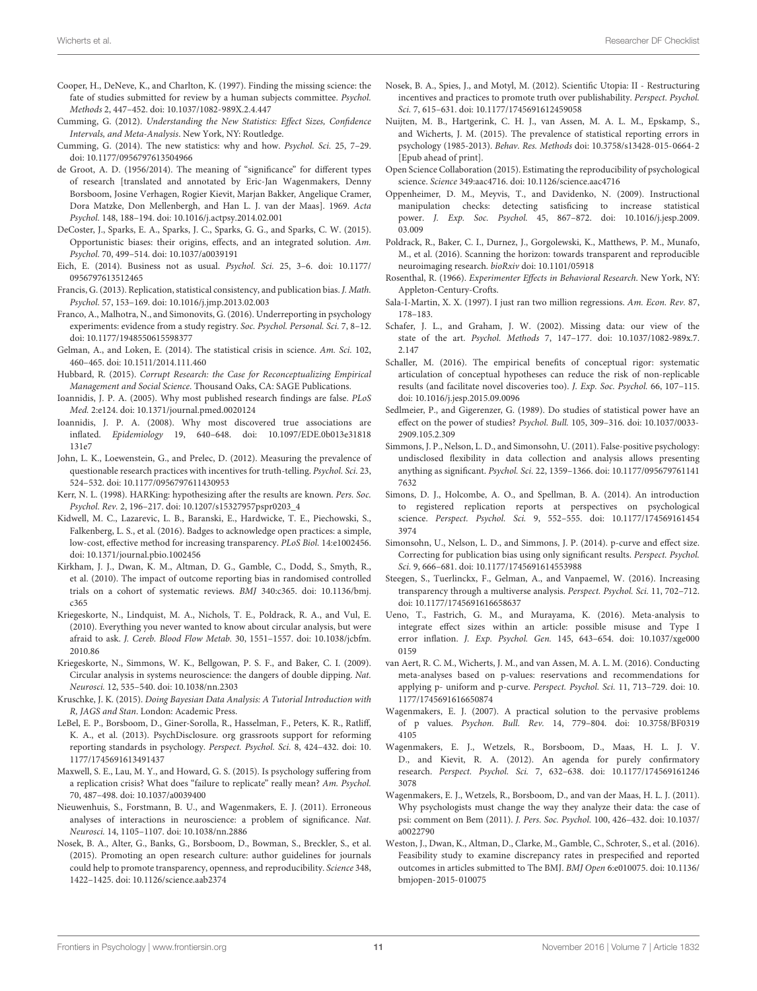- <span id="page-10-37"></span>Cooper, H., DeNeve, K., and Charlton, K. (1997). Finding the missing science: the fate of studies submitted for review by a human subjects committee. Psychol. Methods 2, 447–452. [doi: 10.1037/1082-989X.2.4.447](https://doi.org/10.1037/1082-989X.2.4.447)
- <span id="page-10-10"></span>Cumming, G. (2012). Understanding the New Statistics: Effect Sizes, Confidence Intervals, and Meta-Analysis. New York, NY: Routledge.
- <span id="page-10-40"></span>Cumming, G. (2014). The new statistics: why and how. Psychol. Sci. 25, 7–29. [doi: 10.1177/0956797613504966](https://doi.org/10.1177/0956797613504966)
- <span id="page-10-6"></span>de Groot, A. D. (1956/2014). The meaning of "significance" for different types of research [translated and annotated by Eric-Jan Wagenmakers, Denny Borsboom, Josine Verhagen, Rogier Kievit, Marjan Bakker, Angelique Cramer, Dora Matzke, Don Mellenbergh, and Han L. J. van der Maas]. 1969. Acta Psychol. 148, 188–194. [doi: 10.1016/j.actpsy.2014.02.001](https://doi.org/10.1016/j.actpsy.2014.02.001)
- <span id="page-10-2"></span>DeCoster, J., Sparks, E. A., Sparks, J. C., Sparks, G. G., and Sparks, C. W. (2015). Opportunistic biases: their origins, effects, and an integrated solution. Am. Psychol. 70, 499–514. [doi: 10.1037/a0039191](https://doi.org/10.1037/a0039191)
- <span id="page-10-8"></span>Eich, E. (2014). Business not as usual. Psychol. Sci. 25, 3–6. [doi: 10.1177/](https://doi.org/10.1177/0956797613512465) [0956797613512465](https://doi.org/10.1177/0956797613512465)
- <span id="page-10-17"></span>Francis, G. (2013). Replication, statistical consistency, and publication bias. J. Math. Psychol. 57, 153–169. [doi: 10.1016/j.jmp.2013.02.003](https://doi.org/10.1016/j.jmp.2013.02.003)
- <span id="page-10-22"></span>Franco, A., Malhotra, N., and Simonovits, G. (2016). Underreporting in psychology experiments: evidence from a study registry. Soc. Psychol. Personal. Sci. 7, 8–12. [doi: 10.1177/1948550615598377](https://doi.org/10.1177/1948550615598377)
- <span id="page-10-9"></span>Gelman, A., and Loken, E. (2014). The statistical crisis in science. Am. Sci. 102, 460–465. [doi: 10.1511/2014.111.460](https://doi.org/10.1511/2014.111.460)
- <span id="page-10-19"></span>Hubbard, R. (2015). Corrupt Research: the Case for Reconceptualizing Empirical Management and Social Science. Thousand Oaks, CA: SAGE Publications.
- <span id="page-10-1"></span>Ioannidis, J. P. A. (2005). Why most published research findings are false. PLoS Med. 2:e124. [doi: 10.1371/journal.pmed.0020124](https://doi.org/10.1371/journal.pmed.0020124)
- <span id="page-10-3"></span>Ioannidis, J. P. A. (2008). Why most discovered true associations are inflated. Epidemiology 19, 640–648. [doi: 10.1097/EDE.0b013e31818](https://doi.org/10.1097/EDE.0b013e31818131e7) [131e7](https://doi.org/10.1097/EDE.0b013e31818131e7)
- <span id="page-10-16"></span>John, L. K., Loewenstein, G., and Prelec, D. (2012). Measuring the prevalence of questionable research practices with incentives for truth-telling. Psychol. Sci. 23, 524–532. [doi: 10.1177/0956797611430953](https://doi.org/10.1177/0956797611430953)
- <span id="page-10-20"></span>Kerr, N. L. (1998). HARKing: hypothesizing after the results are known. Pers. Soc. Psychol. Rev. 2, 196–217. [doi: 10.1207/s15327957pspr0203\\_4](https://doi.org/10.1207/s15327957pspr0203_4)
- <span id="page-10-42"></span>Kidwell, M. C., Lazarevic, L. B., Baranski, E., Hardwicke, T. E., Piechowski, S., Falkenberg, L. S., et al. (2016). Badges to acknowledge open practices: a simple, low-cost, effective method for increasing transparency. PLoS Biol. 14:e1002456. [doi: 10.1371/journal.pbio.1002456](https://doi.org/10.1371/journal.pbio.1002456)
- <span id="page-10-24"></span>Kirkham, J. J., Dwan, K. M., Altman, D. G., Gamble, C., Dodd, S., Smyth, R., et al. (2010). The impact of outcome reporting bias in randomised controlled trials on a cohort of systematic reviews. BMJ 340:c365. [doi: 10.1136/bmj.](https://doi.org/10.1136/bmj.c365) [c365](https://doi.org/10.1136/bmj.c365)
- <span id="page-10-32"></span>Kriegeskorte, N., Lindquist, M. A., Nichols, T. E., Poldrack, R. A., and Vul, E. (2010). Everything you never wanted to know about circular analysis, but were afraid to ask. J. Cereb. Blood Flow Metab. 30, 1551–1557. [doi: 10.1038/jcbfm.](https://doi.org/10.1038/jcbfm.2010.86) [2010.86](https://doi.org/10.1038/jcbfm.2010.86)
- <span id="page-10-13"></span>Kriegeskorte, N., Simmons, W. K., Bellgowan, P. S. F., and Baker, C. I. (2009). Circular analysis in systems neuroscience: the dangers of double dipping. Nat. Neurosci. 12, 535–540. [doi: 10.1038/nn.2303](https://doi.org/10.1038/nn.2303)
- <span id="page-10-12"></span>Kruschke, J. K. (2015). Doing Bayesian Data Analysis: A Tutorial Introduction with R, JAGS and Stan. London: Academic Press.
- <span id="page-10-23"></span>LeBel, E. P., Borsboom, D., Giner-Sorolla, R., Hasselman, F., Peters, K. R., Ratliff, K. A., et al. (2013). PsychDisclosure. org grassroots support for reforming reporting standards in psychology. Perspect. Psychol. Sci. 8, 424–432. [doi: 10.](https://doi.org/10.1177/1745691613491437) [1177/1745691613491437](https://doi.org/10.1177/1745691613491437)
- <span id="page-10-11"></span>Maxwell, S. E., Lau, M. Y., and Howard, G. S. (2015). Is psychology suffering from a replication crisis? What does "failure to replicate" really mean? Am. Psychol. 70, 487–498. [doi: 10.1037/a0039400](https://doi.org/10.1037/a0039400)
- <span id="page-10-14"></span>Nieuwenhuis, S., Forstmann, B. U., and Wagenmakers, E. J. (2011). Erroneous analyses of interactions in neuroscience: a problem of significance. Nat. Neurosci. 14, 1105–1107. [doi: 10.1038/nn.2886](https://doi.org/10.1038/nn.2886)
- <span id="page-10-35"></span>Nosek, B. A., Alter, G., Banks, G., Borsboom, D., Bowman, S., Breckler, S., et al. (2015). Promoting an open research culture: author guidelines for journals could help to promote transparency, openness, and reproducibility. Science 348, 1422–1425. [doi: 10.1126/science.aab2374](https://doi.org/10.1126/science.aab2374)
- <span id="page-10-41"></span>Nosek, B. A., Spies, J., and Motyl, M. (2012). Scientific Utopia: II - Restructuring incentives and practices to promote truth over publishability. Perspect. Psychol. Sci. 7, 615–631. [doi: 10.1177/1745691612459058](https://doi.org/10.1177/1745691612459058)
- <span id="page-10-39"></span>Nuijten, M. B., Hartgerink, C. H. J., van Assen, M. A. L. M., Epskamp, S., and Wicherts, J. M. (2015). The prevalence of statistical reporting errors in psychology (1985-2013). Behav. Res. Methods [doi: 10.3758/s13428-015-0664-2](https://doi.org/10.3758/s13428-015-0664-2) [Epub ahead of print].
- <span id="page-10-36"></span>Open Science Collaboration (2015). Estimating the reproducibility of psychological science. Science 349:aac4716. [doi: 10.1126/science.aac4716](https://doi.org/10.1126/science.aac4716)
- <span id="page-10-26"></span>Oppenheimer, D. M., Meyvis, T., and Davidenko, N. (2009). Instructional manipulation checks: detecting satisficing to increase statistical power. J. Exp. Soc. Psychol. 45, 867–872. [doi: 10.1016/j.jesp.2009.](https://doi.org/10.1016/j.jesp.2009.03.009) [03.009](https://doi.org/10.1016/j.jesp.2009.03.009)
- <span id="page-10-33"></span>Poldrack, R., Baker, C. I., Durnez, J., Gorgolewski, K., Matthews, P. M., Munafo, M., et al. (2016). Scanning the horizon: towards transparent and reproducible neuroimaging research. bioRxiv [doi: 10.1101/05918](https://doi.org/10.1101/05918)
- <span id="page-10-29"></span>Rosenthal, R. (1966). Experimenter Effects in Behavioral Research. New York, NY: Appleton-Century-Crofts.
- <span id="page-10-34"></span>Sala-I-Martin, X. X. (1997). I just ran two million regressions. Am. Econ. Rev. 87, 178–183.
- <span id="page-10-31"></span>Schafer, J. L., and Graham, J. W. (2002). Missing data: our view of the state of the art. Psychol. Methods 7, 147–177. [doi: 10.1037/1082-989x.7.](https://doi.org/10.1037/1082-989x.7.2.147) [2.147](https://doi.org/10.1037/1082-989x.7.2.147)
- <span id="page-10-21"></span>Schaller, M. (2016). The empirical benefits of conceptual rigor: systematic articulation of conceptual hypotheses can reduce the risk of non-replicable results (and facilitate novel discoveries too). J. Exp. Soc. Psychol. 66, 107–115. [doi: 10.1016/j.jesp.2015.09.0096](https://doi.org/10.1016/j.jesp.2015.09.0096)
- <span id="page-10-27"></span>Sedlmeier, P., and Gigerenzer, G. (1989). Do studies of statistical power have an effect on the power of studies? Psychol. Bull. 105, 309–316. [doi: 10.1037/0033-](https://doi.org/10.1037/0033-2909.105.2.309) [2909.105.2.309](https://doi.org/10.1037/0033-2909.105.2.309)
- <span id="page-10-0"></span>Simmons, J. P., Nelson, L. D., and Simonsohn, U. (2011). False-positive psychology: undisclosed flexibility in data collection and analysis allows presenting anything as significant. Psychol. Sci. 22, 1359–1366. [doi: 10.1177/095679761141](https://doi.org/10.1177/0956797611417632) [7632](https://doi.org/10.1177/0956797611417632)
- <span id="page-10-38"></span>Simons, D. J., Holcombe, A. O., and Spellman, B. A. (2014). An introduction to registered replication reports at perspectives on psychological science. Perspect. Psychol. Sci. 9, 552–555. [doi: 10.1177/174569161454](https://doi.org/10.1177/1745691614543974) [3974](https://doi.org/10.1177/1745691614543974)
- <span id="page-10-4"></span>Simonsohn, U., Nelson, L. D., and Simmons, J. P. (2014). p-curve and effect size. Correcting for publication bias using only significant results. Perspect. Psychol. Sci. 9, 666–681. [doi: 10.1177/1745691614553988](https://doi.org/10.1177/1745691614553988)
- <span id="page-10-18"></span>Steegen, S., Tuerlinckx, F., Gelman, A., and Vanpaemel, W. (2016). Increasing transparency through a multiverse analysis. Perspect. Psychol. Sci. 11, 702–712. [doi: 10.1177/1745691616658637](https://doi.org/10.1177/1745691616658637)
- <span id="page-10-28"></span>Ueno, T., Fastrich, G. M., and Murayama, K. (2016). Meta-analysis to integrate effect sizes within an article: possible misuse and Type I error inflation. J. Exp. Psychol. Gen. 145, 643–654. [doi: 10.1037/xge000](https://doi.org/10.1037/xge0000159) [0159](https://doi.org/10.1037/xge0000159)
- <span id="page-10-5"></span>van Aert, R. C. M., Wicherts, J. M., and van Assen, M. A. L. M. (2016). Conducting meta-analyses based on p-values: reservations and recommendations for applying p- uniform and p-curve. Perspect. Psychol. Sci. 11, 713–729. [doi: 10.](https://doi.org/10.1177/1745691616650874) [1177/1745691616650874](https://doi.org/10.1177/1745691616650874)
- <span id="page-10-30"></span>Wagenmakers, E. J. (2007). A practical solution to the pervasive problems of p values. Psychon. Bull. Rev. 14, 779–804. [doi: 10.3758/BF0319](https://doi.org/10.3758/BF03194105) [4105](https://doi.org/10.3758/BF03194105)
- <span id="page-10-7"></span>Wagenmakers, E. J., Wetzels, R., Borsboom, D., Maas, H. L. J. V. D., and Kievit, R. A. (2012). An agenda for purely confirmatory research. Perspect. Psychol. Sci. 7, 632–638. [doi: 10.1177/174569161246](https://doi.org/10.1177/1745691612463078) [3078](https://doi.org/10.1177/1745691612463078)
- <span id="page-10-15"></span>Wagenmakers, E. J., Wetzels, R., Borsboom, D., and van der Maas, H. L. J. (2011). Why psychologists must change the way they analyze their data: the case of psi: comment on Bem (2011). J. Pers. Soc. Psychol. 100, 426–432. [doi: 10.1037/](https://doi.org/10.1037/a0022790) [a0022790](https://doi.org/10.1037/a0022790)
- <span id="page-10-25"></span>Weston, J., Dwan, K., Altman, D., Clarke, M., Gamble, C., Schroter, S., et al. (2016). Feasibility study to examine discrepancy rates in prespecified and reported outcomes in articles submitted to The BMJ. BMJ Open 6:e010075. [doi: 10.1136/](https://doi.org/10.1136/bmjopen-2015-010075) [bmjopen-2015-010075](https://doi.org/10.1136/bmjopen-2015-010075)